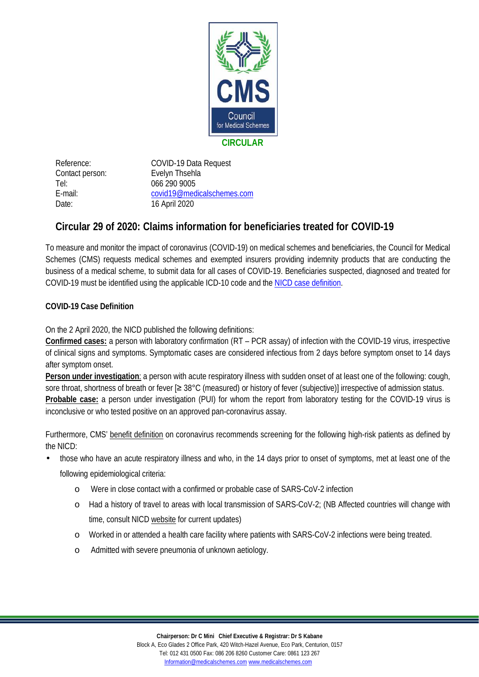

Contact person: Evelyn Thsehla Tel: 066 290 9005 Date: 16 April 2020

Reference: COVID-19 Data Request E-mail: [covid19@medicalschemes.com](mailto:covid19@medicalschemes.com)

## **Circular 29 of 2020: Claims information for beneficiaries treated for COVID-19**

To measure and monitor the impact of coronavirus (COVID-19) on medical schemes and beneficiaries, the Council for Medical Schemes (CMS) requests medical schemes and exempted insurers providing indemnity products that are conducting the business of a medical scheme, to submit data for all cases of COVID-19. Beneficiaries suspected, diagnosed and treated for COVID-19 must be identified using the applicable ICD-10 code and the [NICD case definition.](https://www.nicd.ac.za/wp-content/uploads/2020/03/A0-nCoV-Poster-V1-PU-Feb-2020-G.pdf)

## **COVID-19 Case Definition**

On the 2 April 2020, the NICD published the following definitions:

**Confirmed cases:** a person with laboratory confirmation (RT – PCR assay) of infection with the COVID-19 virus, irrespective of clinical signs and symptoms. Symptomatic cases are considered infectious from 2 days before symptom onset to 14 days after symptom onset.

**Person under investigation**: a person with acute respiratory illness with sudden onset of at least one of the following: cough, sore throat, shortness of breath or fever [≥ 38°C (measured) or history of fever (subjective)] irrespective of admission status. **Probable case:** a person under investigation (PUI) for whom the report from laboratory testing for the COVID-19 virus is inconclusive or who tested positive on an approved pan-coronavirus assay.

Furthermore, CMS' [benefit definition](https://www.medicalschemes.com/files/PMB%20Benefit%20definition%20guidelines/PMB_definition_guideline-COVID-19_v1.pdf) on coronavirus recommends screening for the following high-risk patients as defined by the NICD:

- those who have an acute respiratory illness and who, in the 14 days prior to onset of symptoms, met at least one of the following epidemiological criteria:
	- o Were in close contact with a confirmed or probable case of SARS-CoV-2 infection
	- o Had a history of travel to areas with local transmission of SARS-CoV-2; (NB Affected countries will change with time, consult NICD [website](http://www.nicd.ac.za/) for current updates)
	- o Worked in or attended a health care facility where patients with SARS-CoV-2 infections were being treated.
	- o Admitted with severe pneumonia of unknown aetiology.